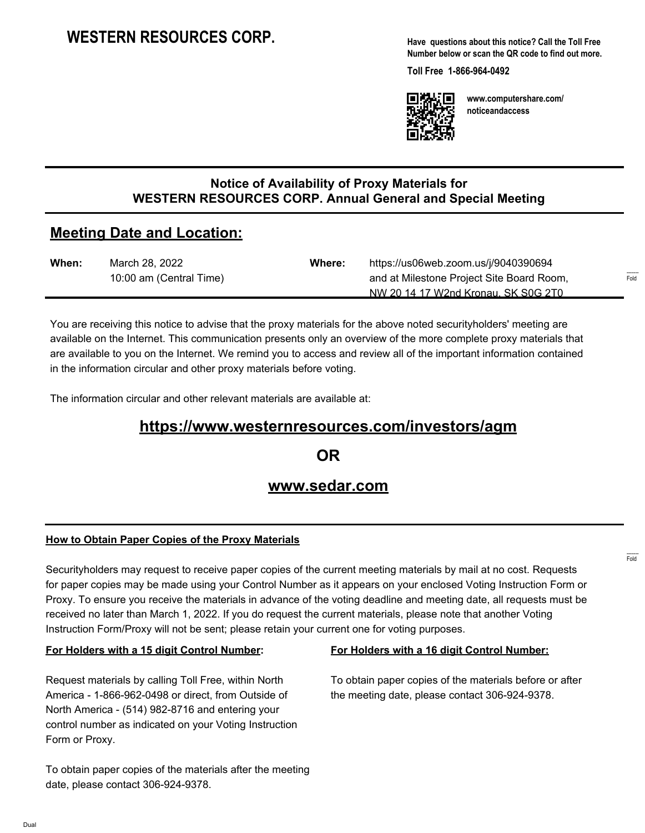**Have questions about this notice? Call the Toll Free Number below or scan the QR code to find out more.**

**Toll Free 1-866-964-0492**



**www.computershare.com/ noticeandaccess**

## **Notice of Availability of Proxy Materials for WESTERN RESOURCES CORP. Annual General and Special Meeting**

# **Meeting Date and Location:**

| When: | March 28, 2022          | <b>Where:</b> | https://us06web.zoom.us/j/9040390694      |        |
|-------|-------------------------|---------------|-------------------------------------------|--------|
|       | 10:00 am (Central Time) |               | and at Milestone Project Site Board Room, | $\sim$ |
|       |                         |               | NW 20 14 17 W2nd Kronau, SK S0G 2T0       |        |

You are receiving this notice to advise that the proxy materials for the above noted securityholders' meeting are available on the Internet. This communication presents only an overview of the more complete proxy materials that are available to you on the Internet. We remind you to access and review all of the important information contained in the information circular and other proxy materials before voting.

The information circular and other relevant materials are available at:

## **https://www.westernresources.com/investors/agm**

**OR**

## **www.sedar.com**

## **How to Obtain Paper Copies of the Proxy Materials**

Securityholders may request to receive paper copies of the current meeting materials by mail at no cost. Requests for paper copies may be made using your Control Number as it appears on your enclosed Voting Instruction Form or Proxy. To ensure you receive the materials in advance of the voting deadline and meeting date, all requests must be received no later than March 1, 2022. If you do request the current materials, please note that another Voting Instruction Form/Proxy will not be sent; please retain your current one for voting purposes.

#### **For Holders with a 15 digit Control Number:**

Request materials by calling Toll Free, within North America - 1-866-962-0498 or direct, from Outside of North America - (514) 982-8716 and entering your control number as indicated on your Voting Instruction Form or Proxy.

#### **For Holders with a 16 digit Control Number:**

To obtain paper copies of the materials before or after the meeting date, please contact 306-924-9378.

To obtain paper copies of the materials after the meeting date, please contact 306-924-9378.

------- Fold